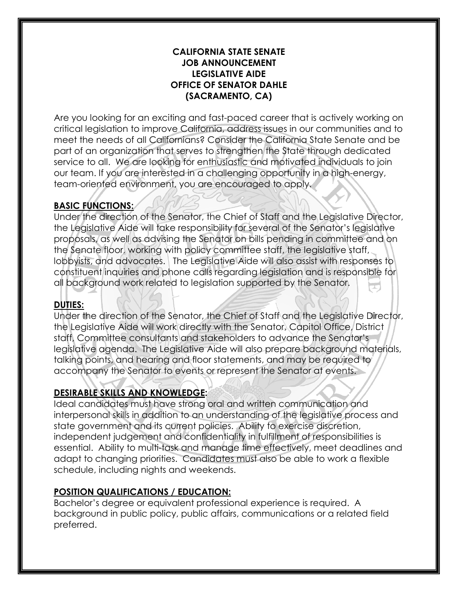#### **CALIFORNIA STATE SENATE JOB ANNOUNCEMENT LEGISLATIVE AIDE OFFICE OF SENATOR DAHLE (SACRAMENTO, CA)**

 our team. If you are interested in a challenging opportunity in a high-energy, team-oriented environment, you are encouraged to apply. Are you looking for an exciting and fast-paced career that is actively working on critical legislation to improve California, address issues in our communities and to meet the needs of all Californians? Consider the California State Senate and be part of an organization that serves to strengthen the State through dedicated service to all. We are looking for enthusiastic and motivated individuals to join

# **BASIC FUNCTIONS:**

 lobbyists, and advocates. The Legislative Aide will also assist with responses to all background work related to legislation supported by the Senator. Under the direction of the Senator, the Chief of Staff and the Legislative Director, the Legislative Aide will take responsibility for several of the Senator's legislative proposals, as well as advising the Senator on bills pending in committee and on the Senate floor, working with policy committee staff, the legislative staff, constituent inquiries and phone calls regarding legislation and is responsible for

# **DUTIES:**

 the Legislative Aide will work directly with the Senator, Capitol Office, District Under the direction of the Senator, the Chief of Staff and the Legislative Director, staff, Committee consultants and stakeholders to advance the Senator's legislative agenda. The Legislative Aide will also prepare background materials, talking points, and hearing and floor statements, and may be required to accompany the Senator to events or represent the Senator at events.

## **DESIRABLE SKILLS AND KNOWLEDGE:**

 Ideal candidates must have strong oral and written communication and interpersonal skills in addition to an understanding of the legislative process and state government and its current policies. Ability to exercise discretion, independent judgement and confidentiality in fulfillment of responsibilities is essential. Ability to multi-task and manage time effectively, meet deadlines and adapt to changing priorities. Candidates must also be able to work a flexible schedule, including nights and weekends.

## **POSITION QUALIFICATIONS / EDUCATION:**

Bachelor's degree or equivalent professional experience is required. A background in public policy, public affairs, communications or a related field preferred.